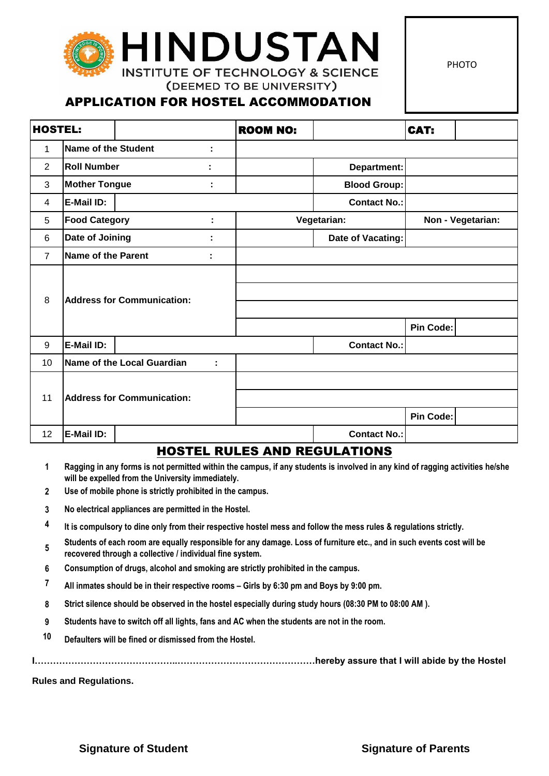# HINDUSTAI **INSTITUTE OF TECHNOLOGY & SCIENCE**

PHOTO

## APPLICATION FOR HOSTEL ACCOMMODATION

(DEEMED TO BE UNIVERSITY)

| <b>HOSTEL:</b> |                                        |  |   | <b>ROOM NO:</b> |                     | CAT:              |  |
|----------------|----------------------------------------|--|---|-----------------|---------------------|-------------------|--|
| 1              | <b>Name of the Student</b>             |  | t |                 |                     |                   |  |
| $\overline{2}$ | <b>Roll Number</b>                     |  |   |                 | Department:         |                   |  |
| 3              | <b>Mother Tongue</b>                   |  |   |                 | <b>Blood Group:</b> |                   |  |
| 4              | E-Mail ID:                             |  |   |                 | <b>Contact No.:</b> |                   |  |
| 5              | <b>Food Category</b>                   |  | t |                 | Vegetarian:         | Non - Vegetarian: |  |
| $6\phantom{1}$ | Date of Joining                        |  | t |                 | Date of Vacating:   |                   |  |
| $\overline{7}$ | Name of the Parent<br>٠                |  |   |                 |                     |                   |  |
| 8              | <b>Address for Communication:</b>      |  |   |                 |                     | Pin Code:         |  |
| 9              | E-Mail ID:                             |  |   |                 | <b>Contact No.:</b> |                   |  |
| 10             | <b>Name of the Local Guardian</b><br>÷ |  |   |                 |                     |                   |  |
| 11             | <b>Address for Communication:</b>      |  |   |                 |                     | Pin Code:         |  |
| 12             | E-Mail ID:                             |  |   |                 | <b>Contact No.:</b> |                   |  |

#### HOSTEL RULES AND REGULATIONS

- **1 Ragging in any forms is not permitted within the campus, if any students is involved in any kind of ragging activities he/she will be expelled from the University immediately.**
- **2 Use of mobile phone is strictly prohibited in the campus.**
- **3 No electrical appliances are permitted in the Hostel.**
- **4 It is compulsory to dine only from their respective hostel mess and follow the mess rules & regulations strictly.**
- **5 Students of each room are equally responsible for any damage. Loss of furniture etc., and in such events cost will be recovered through a collective / individual fine system.**
- **6 Consumption of drugs, alcohol and smoking are strictly prohibited in the campus.**
- **7 All inmates should be in their respective rooms – Girls by 6:30 pm and Boys by 9:00 pm.**
- **8 Strict silence should be observed in the hostel especially during study hours (08:30 PM to 08:00 AM ).**
- **9 Students have to switch off all lights, fans and AC when the students are not in the room.**
- **10 Defaulters will be fined or dismissed from the Hostel.**

**I………………………………………..………………………………………hereby assure that I will abide by the Hostel** 

**Rules and Regulations.**